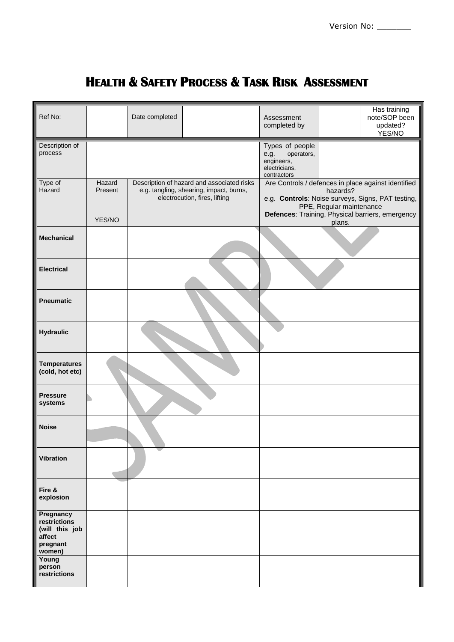## **HEALTH & SAFETY PROCESS & TASK RISK ASSESSMENT**

| Ref No:                                                                     |                   | Date completed |                                                                                                                        | Assessment<br>completed by                                                                                                                       |  | Has training<br>note/SOP been<br>updated?<br>YES/NO |  |
|-----------------------------------------------------------------------------|-------------------|----------------|------------------------------------------------------------------------------------------------------------------------|--------------------------------------------------------------------------------------------------------------------------------------------------|--|-----------------------------------------------------|--|
| Description of<br>process                                                   |                   |                |                                                                                                                        | Types of people<br>operators,<br>e.g.<br>engineers,<br>electricians,<br>contractors                                                              |  |                                                     |  |
| Type of<br>Hazard                                                           | Hazard<br>Present |                | Description of hazard and associated risks<br>e.g. tangling, shearing, impact, burns,<br>electrocution, fires, lifting | Are Controls / defences in place against identified<br>hazards?<br>e.g. Controls: Noise surveys, Signs, PAT testing,<br>PPE, Regular maintenance |  |                                                     |  |
|                                                                             | YES/NO            |                |                                                                                                                        | Defences: Training, Physical barriers, emergency<br>plans.                                                                                       |  |                                                     |  |
| <b>Mechanical</b>                                                           |                   |                |                                                                                                                        |                                                                                                                                                  |  |                                                     |  |
| <b>Electrical</b>                                                           |                   |                |                                                                                                                        |                                                                                                                                                  |  |                                                     |  |
| <b>Pneumatic</b>                                                            |                   |                |                                                                                                                        |                                                                                                                                                  |  |                                                     |  |
| <b>Hydraulic</b>                                                            |                   |                |                                                                                                                        |                                                                                                                                                  |  |                                                     |  |
| <b>Temperatures</b><br>(cold, hot etc)                                      |                   |                |                                                                                                                        |                                                                                                                                                  |  |                                                     |  |
| <b>Pressure</b><br>systems                                                  |                   |                |                                                                                                                        |                                                                                                                                                  |  |                                                     |  |
| <b>Noise</b>                                                                |                   |                |                                                                                                                        |                                                                                                                                                  |  |                                                     |  |
| <b>Vibration</b>                                                            |                   |                |                                                                                                                        |                                                                                                                                                  |  |                                                     |  |
| Fire &<br>explosion                                                         |                   |                |                                                                                                                        |                                                                                                                                                  |  |                                                     |  |
| Pregnancy<br>restrictions<br>(will this job<br>affect<br>pregnant<br>women) |                   |                |                                                                                                                        |                                                                                                                                                  |  |                                                     |  |
| Young<br>person<br>restrictions                                             |                   |                |                                                                                                                        |                                                                                                                                                  |  |                                                     |  |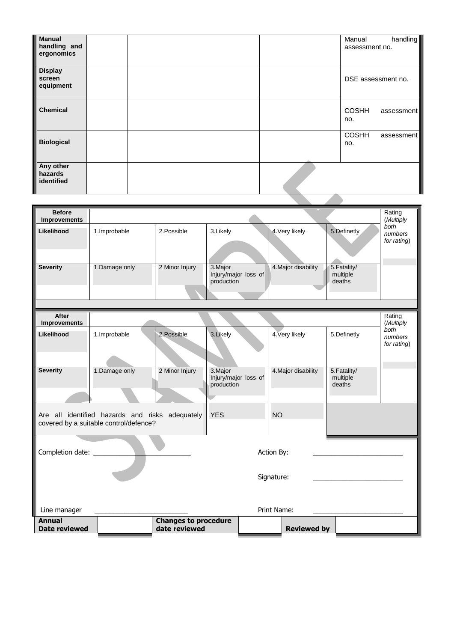| <b>Manual</b><br>handling and<br>ergonomics |  |  |  | Manual<br>assessment no. | handling   |
|---------------------------------------------|--|--|--|--------------------------|------------|
| <b>Display</b><br>screen<br>equipment       |  |  |  | DSE assessment no.       |            |
| <b>Chemical</b>                             |  |  |  | <b>COSHH</b><br>no.      | assessment |
| <b>Biological</b>                           |  |  |  | <b>COSHH</b><br>no.      | assessment |
| Any other<br>hazards<br>identified          |  |  |  |                          |            |

| <b>Before</b><br><b>Improvements</b>                                                                                 |                             |                |                                                |                     | Rating<br>(Multiply                |                                |
|----------------------------------------------------------------------------------------------------------------------|-----------------------------|----------------|------------------------------------------------|---------------------|------------------------------------|--------------------------------|
| Likelihood                                                                                                           | 1.Improbable                | 2. Possible    | 3.Likely                                       | 4. Very likely      | 5.Definetly                        | both<br>numbers<br>for rating) |
| <b>Severity</b>                                                                                                      | 1.Damage only               | 2 Minor Injury | 3. Major<br>Injury/major loss of<br>production | 4. Major disability | 5. Fatality/<br>multiple<br>deaths |                                |
|                                                                                                                      |                             |                |                                                |                     |                                    |                                |
| After<br><b>Improvements</b>                                                                                         |                             |                |                                                |                     |                                    | Rating<br>(Multiply            |
| Likelihood                                                                                                           | 1.Improbable                | 2. Possible    | 3.Likely                                       | 4. Very likely      | 5.Definetly                        | both<br>numbers<br>for rating) |
| <b>Severity</b>                                                                                                      | 1.Damage only               | 2 Minor Injury | 3. Major<br>Injury/major loss of<br>production | 4. Major disability | 5. Fatality/<br>multiple<br>deaths |                                |
| <b>YES</b><br><b>NO</b><br>Are all identified hazards and risks adequately<br>covered by a suitable control/defence? |                             |                |                                                |                     |                                    |                                |
| Completion date: __________<br>Action By:                                                                            |                             |                |                                                |                     |                                    |                                |
| Signature:                                                                                                           |                             |                |                                                |                     |                                    |                                |
| Print Name:<br>Line manager                                                                                          |                             |                |                                                |                     |                                    |                                |
| <b>Annual</b>                                                                                                        | <b>Changes to procedure</b> |                |                                                |                     |                                    |                                |
| <b>Date reviewed</b>                                                                                                 |                             | date reviewed  |                                                | <b>Reviewed by</b>  |                                    |                                |